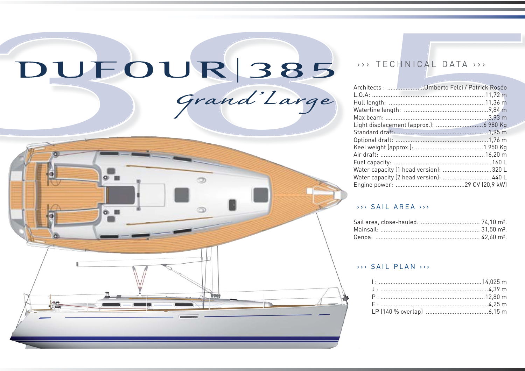# DUFOUR 385

Grand'Large



# >>> TECHNICAL DATA >>>

|                                        | Architects : Umberto Felci / Patrick Roséo |  |
|----------------------------------------|--------------------------------------------|--|
|                                        |                                            |  |
|                                        |                                            |  |
|                                        |                                            |  |
|                                        |                                            |  |
|                                        |                                            |  |
|                                        |                                            |  |
|                                        |                                            |  |
|                                        |                                            |  |
|                                        |                                            |  |
|                                        |                                            |  |
| Water capacity (1 head version): 320 L |                                            |  |
| Water capacity (2 head version): 440 L |                                            |  |
|                                        |                                            |  |

#### $\rightarrow$  > SAII ARFA  $\rightarrow$

#### >>> SAIL PLAN >>>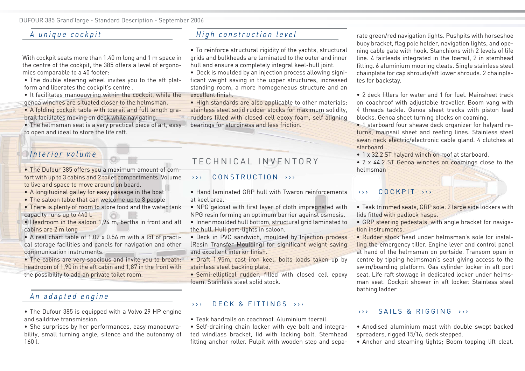## A unique cockpit

With cockpit seats more than 1.40 m long and 1 m space in the centre of the cockpit, the 385 offers a level of ergonomics comparable to a 40 footer:

- The double steering wheel invites you to the aft plat-• form and liberates the cockpit's centre .
- It facilitates manoeuvring within the cockpit, while the genoa winches are situated closer to the helmsman.
- A folding cockpit table with toerail and full length gra-• brail facilitates moving on deck while navigating.
- The helmsman seat is a very practical piece of art, easy to open and ideal to store the life raft.

#### Interior volume

- The Dufour 385 offers you a maximum amount of comfort with up to 3 cabins and 2 toilet compartments. Volume to live and space to move around on board.
- A longitudinal galley for easy passage in the boat
- The saloon table that can welcome up to 8 people •
- There is plenty of room to store food and the water tank capacity runs up to 440 l.
- Headroom in the saloon 1,94 m, berths in front and aft cabins are 2 m long
- A real chart table of 1.02 x 0.56 m with a lot of practical storage facilities and panels for navigation and other communication instruments.
- The cabins are very spacious and invite you to breath: headroom of 1,90 in the aft cabin and 1,87 in the front with the possibility to add an private toilet room.

#### An adapted engine

- The Dufour 385 is equipped with a Volvo 29 HP engine and saildrive transmission.
- She surprises by her performances, easy manoeuvrability, small turning angle, silence and the autonomy of 160 l.

# High construction level

- To reinforce structural rigidity of the yachts, structural grids and bulkheads are laminated to the outer and inner hull and ensure a completely integral keel-hull joint.
- Deck is moulded by an injection process allowing signi-• ficant weight saving in the upper structures, increased standing room, a more homogeneous structure and an excellent finish.
- High standards are also applicable to other materials: stainless steel solid rudder stocks for maximum solidity, rudders filled with closed cell epoxy foam, self aligning bearings for sturdiness and less friction.

# TECHNICAL INVENTORY

#### >>> CONSTRUCTION >>>

• Hand laminated GRP hull with Twaron reinforcements at keel area.

NPG gelcoat with first layer of cloth impregnated with • NPG resin forming an optimum barrier against osmosis.

- Inner moulded hull bottom, structural grid laminated to the hull. Hull port-lights in saloon.
- Deck in PVC sandwich, moulded by Injection process (Resin Transfer Moulding) for significant weight saving and excellent interior finish.
- Draft 1.95m, cast iron keel, bolts loads taken up by stainless steel backing plate.
- **•** Semi-elliptical rudder, filled with closed cell epoxy foam. Stainless steel solid stock.

#### >>> DECK & FITTINGS >>>

- Teak handrails on coachroof. Aluminium toerail. •
- Self-draining chain locker with eye bolt and integrated windlass bracket, lid with locking bolt. Stemhead fitting anchor roller. Pulpit with wooden step and sepa-

rate green/red navigation lights. Pushpits with horseshoe buoy bracket, flag pole holder, navigation lights, and opening cable gate with hook. Stanchions with 2 levels of life line. 4 fairleads integrated in the toerail, 2 in stemhead fitting. 6 aluminium mooring cleats. Single stainless steel chainplate for cap shrouds/aft lower shrouds. 2 chainplates for backstay.

2 deck fillers for water and 1 for fuel. Mainsheet track • on coachroof with adjustable traveller. Boom vang with 4 threads tackle. Genoa sheet tracks with piston lead blocks. Genoa sheet turning blocks on coaming.

• 1 starboard four sheave deck organizer for halyard returns, mainsail sheet and reefing lines. Stainless steel swan neck electric/electronic cable gland. 4 clutches at starboard.

- 1 x 32.2 ST halyard winch on roof at starboard.
- 2 x 44.2 ST Genoa winches on coamings close to the helmsman

#### >>> COCKPIT >>>

- Teak trimmed seats, GRP sole. 2 large side lockers with lids fitted with padlock hasps.
- GRP steering pedestals, with angle bracket for navigation instruments.
- Rudder stock head under helmsman's sole for installing the emergency tiller. Engine lever and control panel at hand of the helmsman on portside. Transom open in centre by tipping helmsman's seat giving access to the swim/boarding platform. Gas cylinder locker in aft port seat. Life raft stowage in dedicated locker under helmsman seat. Cockpit shower in aft locker. Stainless steel bathing ladder

#### >>> SAILS & RIGGING >>>

- Anodised aluminium mast with double swept backed spreaders, rigged 15/16, deck stepped.
- Anchor and steaming lights; Boom topping lift cleat.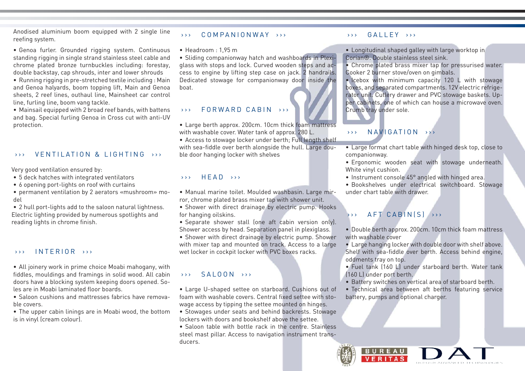Anodised aluminium boom equipped with 2 single line reefing system.

- Genoa furler. Grounded rigging system. Continuous standing rigging in single strand stainless steel cable and chrome plated bronze turnbuckles including: forestay, double backstay, cap shrouds, inter and lower shrouds
- Running rigging in pre-stretched textile including : Main and Genoa halyards, boom topping lift, Main and Genoa sheets, 2 reef lines, outhaul line, Mainsheet car control line, furling line, boom vang tackle.

Mainsail equipped with 2 broad reef bands, with battens • and bag. Special furling Genoa in Cross cut with anti-UV protection.

#### >>> VENTILATION & LIGHTING >>>

Very good ventilation ensured by:

- 5 deck hatches with integrated ventilators •
- 6 opening port-lights on roof with curtains
- permanent ventilation by 2 aerators «mushroom» mo-• del

2 hull port-lights add to the saloon natural lightness. • Electric lighting provided by numerous spotlights and reading lights in chrome finish.

#### >>> INTERIOR >>>

All joinery work in prime choice Moabi mahogany, with • fiddles, mouldings and framings in solid wood. All cabin doors have a blocking system keeping doors opened. Soles are in Moabi laminated floor boards.

• Saloon cushions and mattresses fabrics have removable covers.

The upper cabin linings are in Moabi wood, the bottom • is in vinyl (cream colour).

#### >>> COMPANIONWAY >>>

 $\bullet\,$  Headroom : 1,95 m

• Sliding companionway hatch and washboards in Plexiglass with stops and lock. Curved wooden steps and access to engine by lifting step case on jack. 2 handrails. Dedicated stowage for companionway door inside the boat.

# >>> FORWARD CABIN >>>

Large berth approx. 200cm. 10cm thick foam mattress • with washable cover. Water tank of approx. 280 L.

Access to stowage locker under berth; Full length shelf • with sea-fiddle over berth alongside the hull. Large double door hanging locker with shelves

#### $\rightarrow \rightarrow$  HFAD  $\rightarrow \rightarrow$

- Manual marine toilet. Moulded washbasin. Large mir-• ror, chrome plated brass mixer tap with shower unit.
- Shower with direct drainage by electric pump. Hooks for hanging oilskins.
- Separate shower stall (one aft cabin version only). Shower access by head. Separation panel in plexiglass.
- Shower with direct drainage by electric pump. Shower with mixer tap and mounted on track. Access to a large wet locker in cockpit locker with PVC boxes racks.

#### $\rightarrow \rightarrow$  SALOON  $\rightarrow \rightarrow$

- Large U-shaped settee on starboard. Cushions out of foam with washable covers. Central fixed settee with stowage access by tipping the settee mounted on hinges.
- Stowages under seats and behind backrests. Stowage lockers with doors and bookshelf above the settee.
- Saloon table with bottle rack in the centre. Stainless steel mast pillar. Access to navigation instrument transducers.

#### >>> GALLEY >>>

Longitudinal shaped galley with large worktop in • Corian®. Double stainless steel sink.

Chrome plated brass mixer tap for pressurised water. • Cooker 2 burner stove/oven on gimbals.

• Icebox with minimum capacity 120 L with stowage boxes, and separated compartments. 12V electric refrigerator unit. Cutlery drawer and PVC stowage baskets. Upper cabinets, one of which can house a microwave oven. Crumb tray under sole.

#### >>> NAVIGATION >>>

- Large format chart table with hinged desk top, close to companionway.
- Ergonomic wooden seat with stowage underneath. White vinyl cushion.
- Instrument console 45° angled with hinged area.

Bookshelves under electrical switchboard. Stowage • under chart table with drawer.

### >>> AFT CABIN(S) >>>

- Double berth approx. 200cm. 10cm thick foam mattress with washable cover
- Large hanging locker with double door with shelf above. Shelf with sea-fiddle over berth. Access behind engine, oddments tray on top.

Fuel tank (160 L) under starboard berth. Water tank • (160 L) under port berth.

- Battery switches on vertical area of starboard berth.
- Technical area between aft berths featuring service •battery, pumps and optional charger.